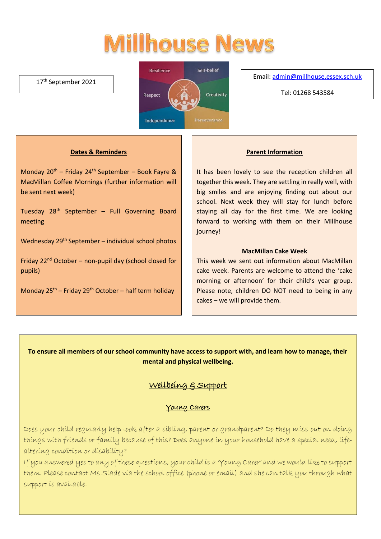# **Millhouse News**

#### 17<sup>th</sup> September 2021



Email[: admin@millhouse.essex.sch.uk](mailto:admin@millhouse.essex.sch.uk)

Tel: 01268 543584

#### **Dates & Reminders**

Monday  $20^{th}$  – Friday  $24^{th}$  September – Book Fayre & MacMillan Coffee Mornings (further information will be sent next week)

Tuesday 28th September – Full Governing Board meeting

Wednesday 29<sup>th</sup> September – individual school photos

Friday  $22^{nd}$  October – non-pupil day (school closed for pupils)

Monday  $25^{th}$  – Friday  $29^{th}$  October – half term holiday

#### **Parent Information**

It has been lovely to see the reception children all together this week. They are settling in really well, with big smiles and are enjoying finding out about our school. Next week they will stay for lunch before staying all day for the first time. We are looking forward to working with them on their Millhouse journey!

#### **MacMillan Cake Week**

This week we sent out information about MacMillan cake week. Parents are welcome to attend the 'cake morning or afternoon' for their child's year group. Please note, children DO NOT need to being in any cakes – we will provide them.

**To ensure all members of our school community have access to support with, and learn how to manage, their mental and physical wellbeing.**

## Wellbeing & Support

#### Young Carers

Does your child regularly help look after a sibling, parent or grandparent? Do they miss out on doing things with friends or family because of this? Does anyone in your household have a special need, lifealtering condition or disability?

If you answered yes to any of these questions, your child is a 'Young Carer' and we would like to support them. Please contact Ms Slade via the school office (phone or email) and she can talk you through what support is available.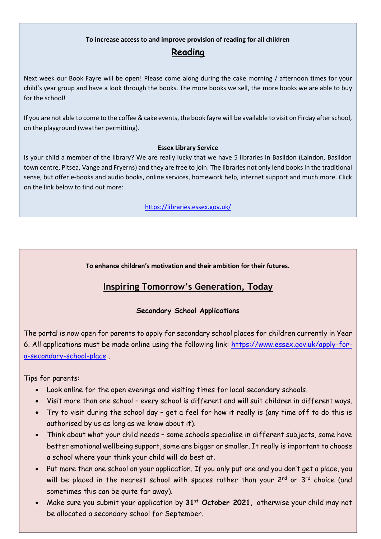# **To increase access to and improve provision of reading for all children**

## **Reading**

Next week our Book Fayre will be open! Please come along during the cake morning / afternoon times for your child's year group and have a look through the books. The more books we sell, the more books we are able to buy for the school!

If you are not able to come to the coffee & cake events, the book fayre will be available to visit on Firday after school, on the playground (weather permitting).

#### **Essex Library Service**

Is your child a member of the library? We are really lucky that we have 5 libraries in Basildon (Laindon, Basildon town centre, Pitsea, Vange and Fryerns) and they are free to join. The libraries not only lend books in the traditional sense, but offer e-books and audio books, online services, homework help, internet support and much more. Click on the link below to find out more:

<https://libraries.essex.gov.uk/>

**To enhance children's motivation and their ambition for their futures.** 

# **Inspiring Tomorrow's Generation, Today**

### **Secondary School Applications**

The portal is now open for parents to apply for secondary school places for children currently in Year 6. All applications must be made online using the following link: [https://www.essex.gov.uk/apply-for](https://www.essex.gov.uk/apply-for-a-secondary-school-place)[a-secondary-school-place](https://www.essex.gov.uk/apply-for-a-secondary-school-place) .

Tips for parents:

- Look online for the open evenings and visiting times for local secondary schools.
- Visit more than one school every school is different and will suit children in different ways.
- Try to visit during the school day get a feel for how it really is (any time off to do this is authorised by us as long as we know about it).
- Think about what your child needs some schools specialise in different subjects, some have better emotional wellbeing support, some are bigger or smaller. It really is important to choose a school where your think your child will do best at.
- Put more than one school on your application. If you only put one and you don't get a place, you will be placed in the nearest school with spaces rather than your  $2^{nd}$  or  $3^{rd}$  choice (and sometimes this can be quite far away).
- Make sure you submit your application by **31st October 2021,** otherwise your child may not be allocated a secondary school for September.